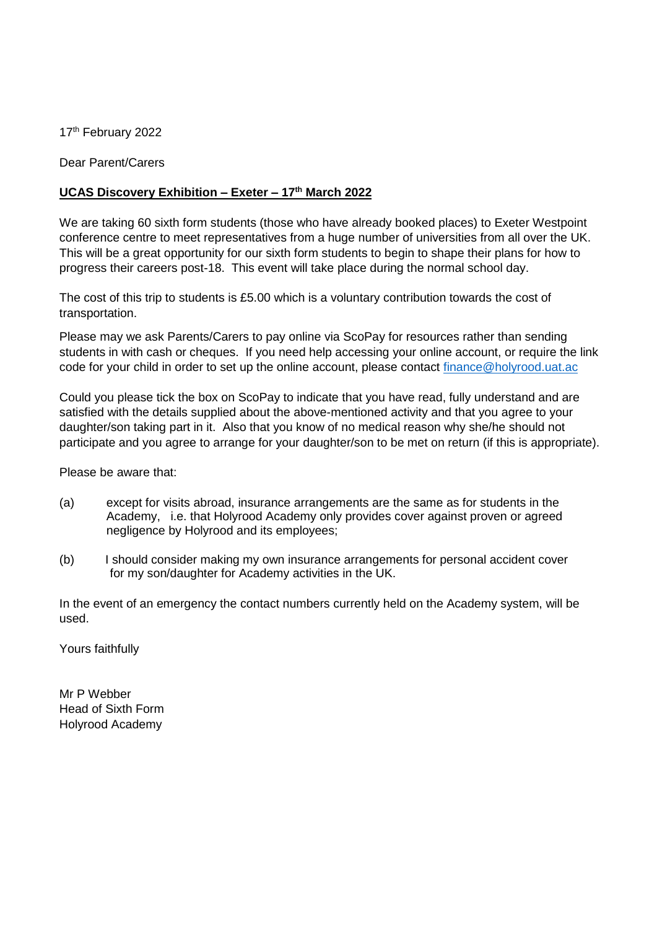17<sup>th</sup> February 2022

Dear Parent/Carers

## **UCAS Discovery Exhibition – Exeter – 17th March 2022**

We are taking 60 sixth form students (those who have already booked places) to Exeter Westpoint conference centre to meet representatives from a huge number of universities from all over the UK. This will be a great opportunity for our sixth form students to begin to shape their plans for how to progress their careers post-18. This event will take place during the normal school day.

The cost of this trip to students is £5.00 which is a voluntary contribution towards the cost of transportation.

Please may we ask Parents/Carers to pay online via ScoPay for resources rather than sending students in with cash or cheques. If you need help accessing your online account, or require the link code for your child in order to set up the online account, please contact [finance@holyrood.uat.ac](mailto:finance@holyrood.uat.ac)

Could you please tick the box on ScoPay to indicate that you have read, fully understand and are satisfied with the details supplied about the above-mentioned activity and that you agree to your daughter/son taking part in it. Also that you know of no medical reason why she/he should not participate and you agree to arrange for your daughter/son to be met on return (if this is appropriate).

Please be aware that:

- (a) except for visits abroad, insurance arrangements are the same as for students in the Academy, i.e. that Holyrood Academy only provides cover against proven or agreed negligence by Holyrood and its employees;
- (b) I should consider making my own insurance arrangements for personal accident cover for my son/daughter for Academy activities in the UK.

In the event of an emergency the contact numbers currently held on the Academy system, will be used.

Yours faithfully

Mr P Webber Head of Sixth Form Holyrood Academy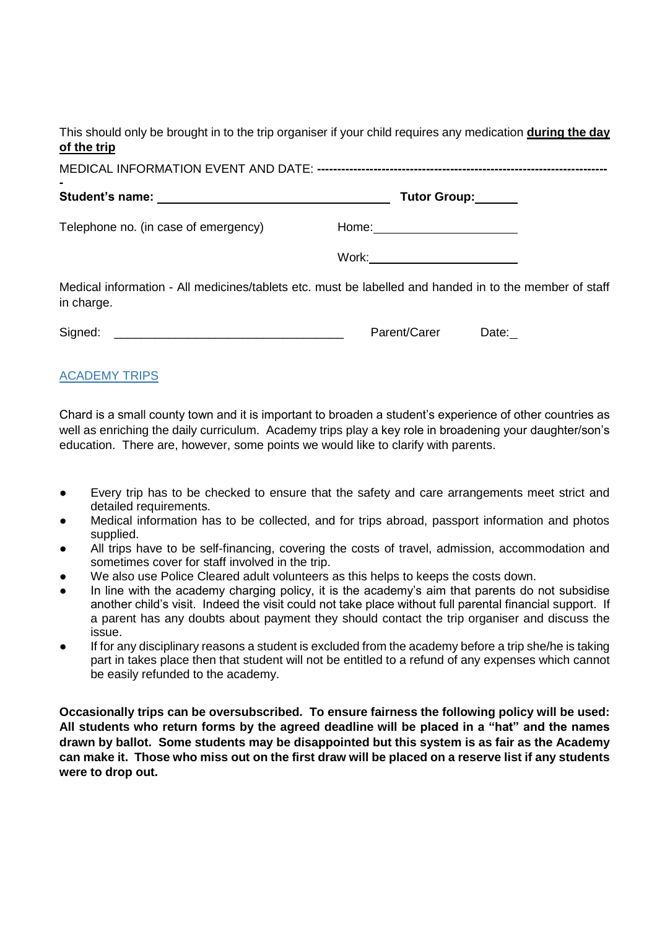This should only be brought in to the trip organiser if your child requires any medication **during the day of the trip**

| ۰                                    |                                                                                                        |
|--------------------------------------|--------------------------------------------------------------------------------------------------------|
|                                      | Tutor Group:                                                                                           |
| Telephone no. (in case of emergency) |                                                                                                        |
|                                      | Work: _________________________                                                                        |
| in charge.                           | Medical information - All medicines/tablets etc. must be labelled and handed in to the member of staff |
| Signed:                              | Parent/Carer<br>Date:                                                                                  |

## ACADEMY TRIPS

Chard is a small county town and it is important to broaden a student's experience of other countries as well as enriching the daily curriculum. Academy trips play a key role in broadening your daughter/son's education. There are, however, some points we would like to clarify with parents.

- Every trip has to be checked to ensure that the safety and care arrangements meet strict and detailed requirements.
- Medical information has to be collected, and for trips abroad, passport information and photos supplied.
- All trips have to be self-financing, covering the costs of travel, admission, accommodation and sometimes cover for staff involved in the trip.
- We also use Police Cleared adult volunteers as this helps to keeps the costs down.
- In line with the academy charging policy, it is the academy's aim that parents do not subsidise another child's visit. Indeed the visit could not take place without full parental financial support. If a parent has any doubts about payment they should contact the trip organiser and discuss the issue.
- If for any disciplinary reasons a student is excluded from the academy before a trip she/he is taking part in takes place then that student will not be entitled to a refund of any expenses which cannot be easily refunded to the academy.

**Occasionally trips can be oversubscribed. To ensure fairness the following policy will be used: All students who return forms by the agreed deadline will be placed in a "hat" and the names drawn by ballot. Some students may be disappointed but this system is as fair as the Academy can make it. Those who miss out on the first draw will be placed on a reserve list if any students were to drop out.**